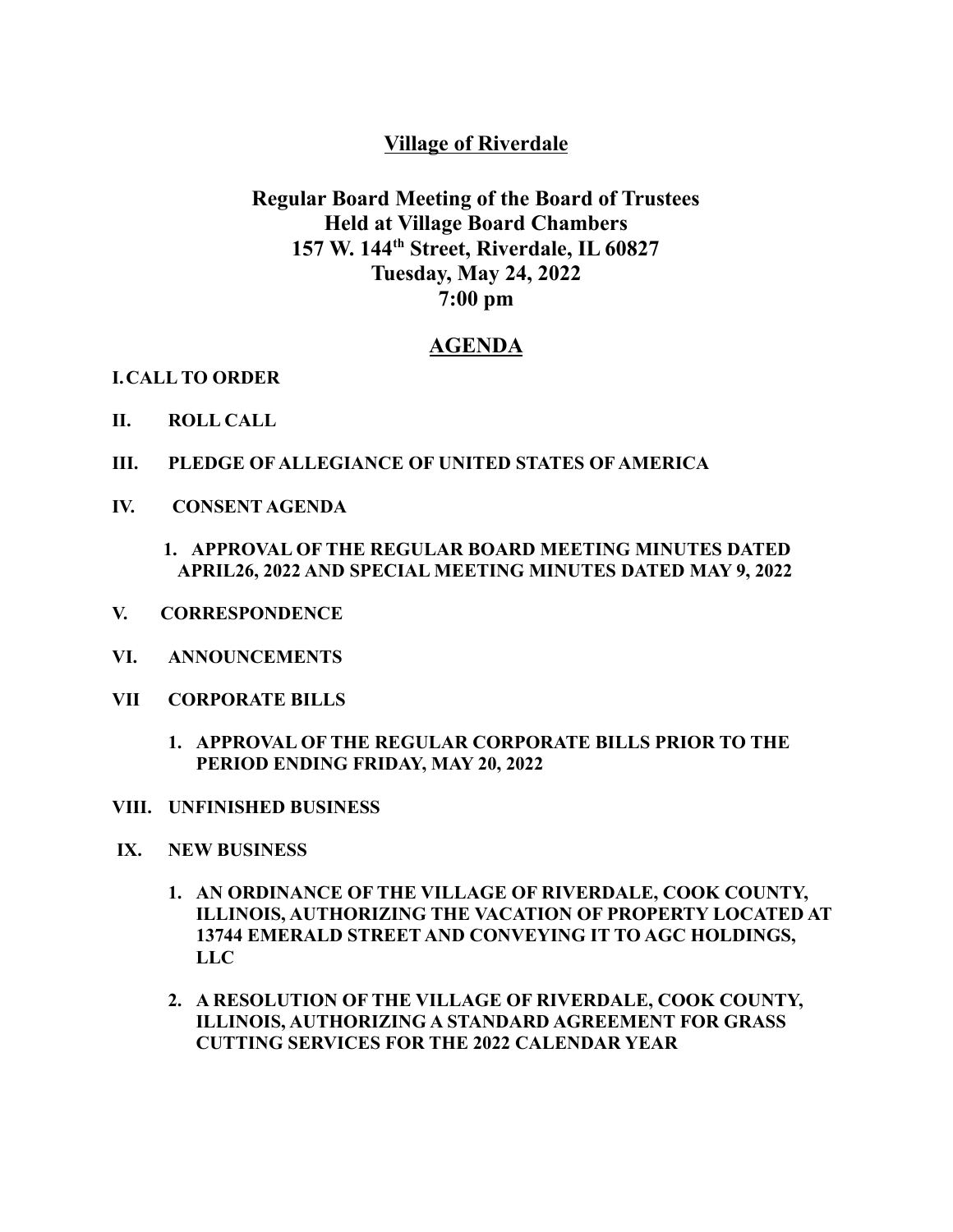## **Village of Riverdale**

# **Regular Board Meeting of the Board of Trustees Held at Village Board Chambers 157 W. 144 th Street, Riverdale, IL 60827 Tuesday, May 24, 2022 7:00 pm**

## **AGENDA**

**I.CALL TO ORDER**

- **II. ROLL CALL**
- **III. PLEDGE OF ALLEGIANCE OF UNITED STATES OF AMERICA**
- **IV. CONSENT AGENDA**
	- **1. APPROVAL OF THE REGULAR BOARD MEETING MINUTES DATED APRIL26, 2022 AND SPECIAL MEETING MINUTES DATED MAY 9, 2022**
- **V. CORRESPONDENCE**
- **VI. ANNOUNCEMENTS**
- **VII CORPORATE BILLS**
	- **1. APPROVAL OF THE REGULAR CORPORATE BILLS PRIOR TO THE PERIOD ENDING FRIDAY, MAY 20, 2022**
- **VIII. UNFINISHED BUSINESS**
- **IX. NEW BUSINESS**
	- **1. AN ORDINANCE OF THE VILLAGE OF RIVERDALE, COOK COUNTY, ILLINOIS, AUTHORIZING THE VACATION OF PROPERTY LOCATED AT 13744 EMERALD STREET AND CONVEYING IT TO AGC HOLDINGS, LLC**
	- **2. A RESOLUTION OF THE VILLAGE OF RIVERDALE, COOK COUNTY, ILLINOIS, AUTHORIZING A STANDARD AGREEMENT FOR GRASS CUTTING SERVICES FOR THE 2022 CALENDAR YEAR**